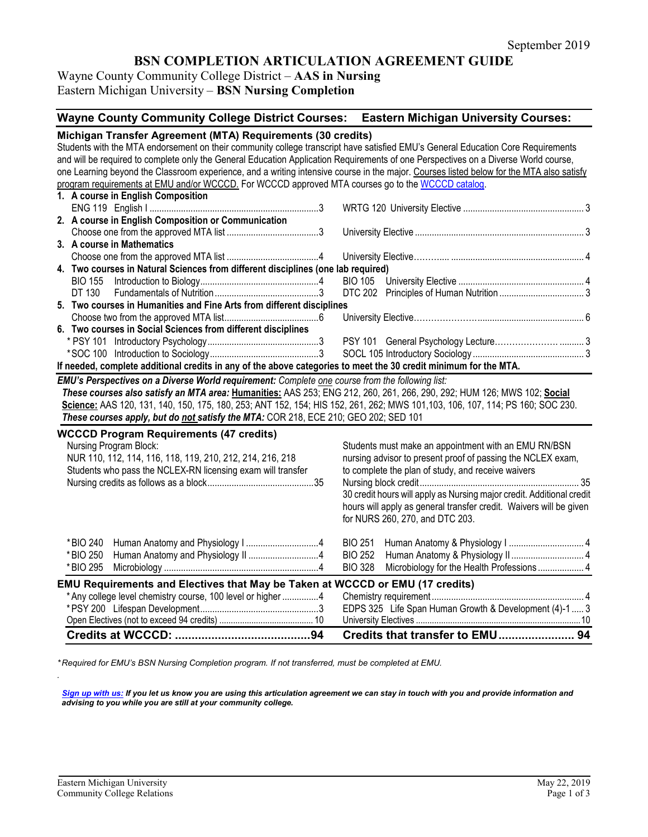# **BSN COMPLETION ARTICULATION AGREEMENT GUIDE**

# Wayne County Community College District – **AAS in Nursing** Eastern Michigan University – **BSN Nursing Completion**

| Wayne County Community College District Courses: Eastern Michigan University Courses:                                                                                                                                                                                                                                                                                                                                                                                                                                                                                                                                         |                                                                                                                                                                                                                                                                                                                                                             |  |  |  |  |  |
|-------------------------------------------------------------------------------------------------------------------------------------------------------------------------------------------------------------------------------------------------------------------------------------------------------------------------------------------------------------------------------------------------------------------------------------------------------------------------------------------------------------------------------------------------------------------------------------------------------------------------------|-------------------------------------------------------------------------------------------------------------------------------------------------------------------------------------------------------------------------------------------------------------------------------------------------------------------------------------------------------------|--|--|--|--|--|
| Michigan Transfer Agreement (MTA) Requirements (30 credits)<br>Students with the MTA endorsement on their community college transcript have satisfied EMU's General Education Core Requirements<br>and will be required to complete only the General Education Application Requirements of one Perspectives on a Diverse World course,<br>one Learning beyond the Classroom experience, and a writing intensive course in the major. Courses listed below for the MTA also satisfy<br>program requirements at EMU and/or WCCCD. For WCCCD approved MTA courses go to the WCCCD catalog.<br>1. A course in English Composition |                                                                                                                                                                                                                                                                                                                                                             |  |  |  |  |  |
|                                                                                                                                                                                                                                                                                                                                                                                                                                                                                                                                                                                                                               |                                                                                                                                                                                                                                                                                                                                                             |  |  |  |  |  |
| 2. A course in English Composition or Communication                                                                                                                                                                                                                                                                                                                                                                                                                                                                                                                                                                           |                                                                                                                                                                                                                                                                                                                                                             |  |  |  |  |  |
| 3. A course in Mathematics                                                                                                                                                                                                                                                                                                                                                                                                                                                                                                                                                                                                    |                                                                                                                                                                                                                                                                                                                                                             |  |  |  |  |  |
|                                                                                                                                                                                                                                                                                                                                                                                                                                                                                                                                                                                                                               |                                                                                                                                                                                                                                                                                                                                                             |  |  |  |  |  |
| 4. Two courses in Natural Sciences from different disciplines (one lab required)                                                                                                                                                                                                                                                                                                                                                                                                                                                                                                                                              |                                                                                                                                                                                                                                                                                                                                                             |  |  |  |  |  |
| <b>BIO 155</b>                                                                                                                                                                                                                                                                                                                                                                                                                                                                                                                                                                                                                |                                                                                                                                                                                                                                                                                                                                                             |  |  |  |  |  |
| DT 130                                                                                                                                                                                                                                                                                                                                                                                                                                                                                                                                                                                                                        |                                                                                                                                                                                                                                                                                                                                                             |  |  |  |  |  |
| 5. Two courses in Humanities and Fine Arts from different disciplines                                                                                                                                                                                                                                                                                                                                                                                                                                                                                                                                                         |                                                                                                                                                                                                                                                                                                                                                             |  |  |  |  |  |
|                                                                                                                                                                                                                                                                                                                                                                                                                                                                                                                                                                                                                               |                                                                                                                                                                                                                                                                                                                                                             |  |  |  |  |  |
| 6. Two courses in Social Sciences from different disciplines                                                                                                                                                                                                                                                                                                                                                                                                                                                                                                                                                                  |                                                                                                                                                                                                                                                                                                                                                             |  |  |  |  |  |
|                                                                                                                                                                                                                                                                                                                                                                                                                                                                                                                                                                                                                               |                                                                                                                                                                                                                                                                                                                                                             |  |  |  |  |  |
|                                                                                                                                                                                                                                                                                                                                                                                                                                                                                                                                                                                                                               |                                                                                                                                                                                                                                                                                                                                                             |  |  |  |  |  |
| If needed, complete additional credits in any of the above categories to meet the 30 credit minimum for the MTA.                                                                                                                                                                                                                                                                                                                                                                                                                                                                                                              |                                                                                                                                                                                                                                                                                                                                                             |  |  |  |  |  |
| EMU's Perspectives on a Diverse World requirement: Complete one course from the following list:<br>These courses also satisfy an MTA area: Humanities: AAS 253; ENG 212, 260, 261, 266, 290, 292; HUM 126; MWS 102; Social<br>Science: AAS 120, 131, 140, 150, 175, 180, 253; ANT 152, 154; HIS 152, 261, 262; MWS 101,103, 106, 107, 114; PS 160; SOC 230.<br>These courses apply, but do not satisfy the MTA: COR 218, ECE 210; GEO 202; SED 101                                                                                                                                                                            |                                                                                                                                                                                                                                                                                                                                                             |  |  |  |  |  |
| <b>WCCCD Program Requirements (47 credits)</b><br>Nursing Program Block:<br>NUR 110, 112, 114, 116, 118, 119, 210, 212, 214, 216, 218<br>Students who pass the NCLEX-RN licensing exam will transfer                                                                                                                                                                                                                                                                                                                                                                                                                          | Students must make an appointment with an EMU RN/BSN<br>nursing advisor to present proof of passing the NCLEX exam,<br>to complete the plan of study, and receive waivers<br>30 credit hours will apply as Nursing major credit. Additional credit<br>hours will apply as general transfer credit. Waivers will be given<br>for NURS 260, 270, and DTC 203. |  |  |  |  |  |
| *BIO 240<br>* BIO 250<br>* BIO 295<br>EMU Requirements and Electives that May be Taken at WCCCD or EMU (17 credits)                                                                                                                                                                                                                                                                                                                                                                                                                                                                                                           | <b>BIO 251</b><br><b>BIO 252</b><br><b>BIO 328</b><br>Microbiology for the Health Professions  4                                                                                                                                                                                                                                                            |  |  |  |  |  |
| * Any college level chemistry course, 100 level or higher 4                                                                                                                                                                                                                                                                                                                                                                                                                                                                                                                                                                   |                                                                                                                                                                                                                                                                                                                                                             |  |  |  |  |  |
|                                                                                                                                                                                                                                                                                                                                                                                                                                                                                                                                                                                                                               | EDPS 325 Life Span Human Growth & Development (4)-1  3                                                                                                                                                                                                                                                                                                      |  |  |  |  |  |
|                                                                                                                                                                                                                                                                                                                                                                                                                                                                                                                                                                                                                               |                                                                                                                                                                                                                                                                                                                                                             |  |  |  |  |  |
|                                                                                                                                                                                                                                                                                                                                                                                                                                                                                                                                                                                                                               |                                                                                                                                                                                                                                                                                                                                                             |  |  |  |  |  |

*\* Required for EMU's BSN Nursing Completion program. If not transferred, must be completed at EMU.* 

*[Sign up with us:](https://www.emich.edu/ccr/articulation-agreements/signup.php) If you let us know you are using this articulation agreement we can stay in touch with you and provide information and advising to you while you are still at your community college.*

*.*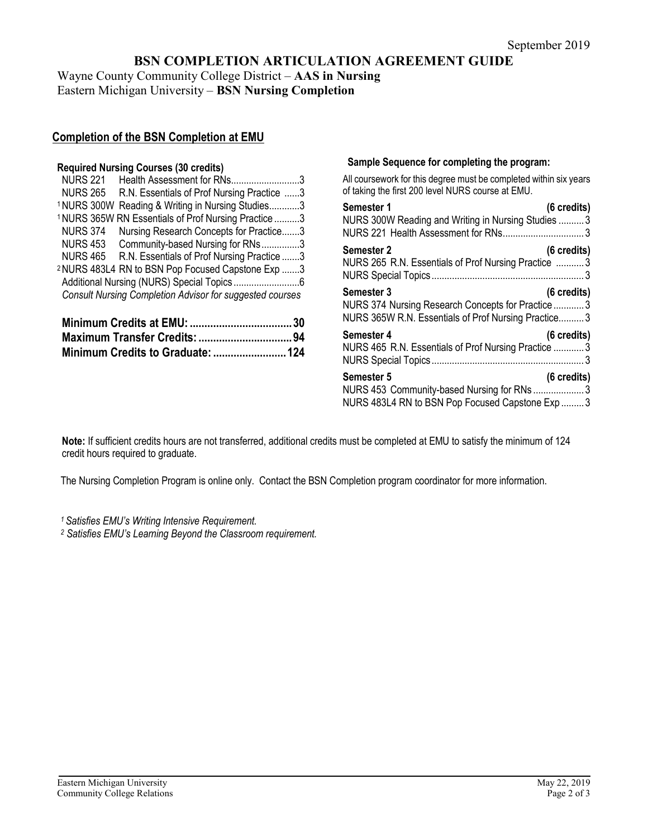# **BSN COMPLETION ARTICULATION AGREEMENT GUIDE**

Wayne County Community College District – **AAS in Nursing** Eastern Michigan University – **BSN Nursing Completion**

## **Completion of the BSN Completion at EMU**

### **Required Nursing Courses (30 credits)**

| <b>NURS 221</b> | Health Assessment for RNs3                                      |  |
|-----------------|-----------------------------------------------------------------|--|
| <b>NURS 265</b> | R.N. Essentials of Prof Nursing Practice 3                      |  |
|                 | <sup>1</sup> NURS 300W Reading & Writing in Nursing Studies3    |  |
|                 | <sup>1</sup> NURS 365W RN Essentials of Prof Nursing Practice 3 |  |
| <b>NURS 374</b> | Nursing Research Concepts for Practice3                         |  |
| <b>NURS 453</b> | Community-based Nursing for RNs3                                |  |
| NURS 465        | R.N. Essentials of Prof Nursing Practice 3                      |  |
|                 | <sup>2</sup> NURS 483L4 RN to BSN Pop Focused Capstone Exp 3    |  |
|                 |                                                                 |  |
|                 | <b>Consult Nursing Completion Advisor for suggested courses</b> |  |
|                 |                                                                 |  |

### **Sample Sequence for completing the program:**

All coursework for this degree must be completed within six years of taking the first 200 level NURS course at EMU.

| Semester 1<br>NURS 300W Reading and Writing in Nursing Studies  3<br>NURS 221 Health Assessment for RNs 3              | $(6 \text{ credits})$ |
|------------------------------------------------------------------------------------------------------------------------|-----------------------|
| Semester 2<br>NURS 265 R.N. Essentials of Prof Nursing Practice 3                                                      | $(6 \text{ credits})$ |
| Semester 3<br>NURS 374 Nursing Research Concepts for Practice 3<br>NURS 365W R.N. Essentials of Prof Nursing Practice3 | $(6 \text{ credits})$ |
| Semester 4<br>NURS 465 R.N. Essentials of Prof Nursing Practice 3                                                      | $(6 \text{ credits})$ |
| Semester 5<br>NURS 453 Community-based Nursing for RNs3<br>NURS 483L4 RN to BSN Pop Focused Capstone Exp  3            | $(6 \text{ credits})$ |

**Note:** If sufficient credits hours are not transferred, additional credits must be completed at EMU to satisfy the minimum of 124 credit hours required to graduate.

The Nursing Completion Program is online only. Contact the BSN Completion program coordinator for more information.

*1 Satisfies EMU's Writing Intensive Requirement.*

*<sup>2</sup> Satisfies EMU's Learning Beyond the Classroom requirement.*